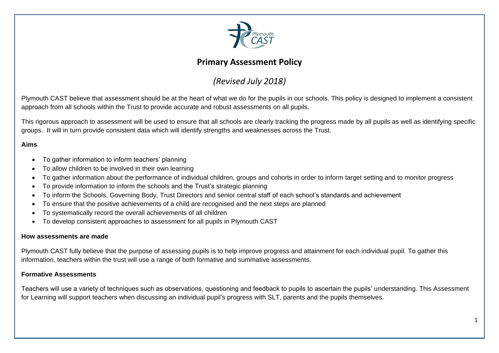

# **Primary Assessment Policy**

# *(Revised July 2018)*

Plymouth CAST believe that assessment should be at the heart of what we do for the pupils in our schools. This policy is designed to implement a consistent approach from all schools within the Trust to provide accurate and robust assessments on all pupils.

This rigorous approach to assessment will be used to ensure that all schools are clearly tracking the progress made by all pupils as well as identifying specific groups. It will in turn provide consistent data which will identify strengths and weaknesses across the Trust.

## **Aims**

- To gather information to inform teachers' planning
- To allow children to be involved in their own learning
- To gather information about the performance of individual children, groups and cohorts in order to inform target setting and to monitor progress
- To provide information to inform the schools and the Trust's strategic planning
- To inform the Schools, Governing Body, Trust Directors and senior central staff of each school's standards and achievement
- To ensure that the positive achievements of a child are recognised and the next steps are planned
- To systematically record the overall achievements of all children
- To develop consistent approaches to assessment for all pupils in Plymouth CAST

#### **How assessments are made**

Plymouth CAST fully believe that the purpose of assessing pupils is to help improve progress and attainment for each individual pupil. To gather this information, teachers within the trust will use a range of both formative and summative assessments.

#### **Formative Assessments**

Teachers will use a variety of techniques such as observations, questioning and feedback to pupils to ascertain the pupils' understanding. This Assessment for Learning will support teachers when discussing an individual pupil's progress with SLT, parents and the pupils themselves.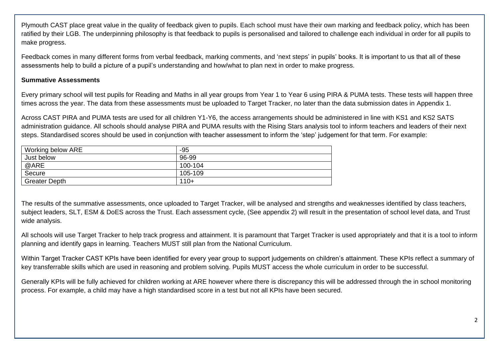Plymouth CAST place great value in the quality of feedback given to pupils. Each school must have their own marking and feedback policy, which has been ratified by their LGB. The underpinning philosophy is that feedback to pupils is personalised and tailored to challenge each individual in order for all pupils to make progress.

Feedback comes in many different forms from verbal feedback, marking comments, and 'next steps' in pupils' books. It is important to us that all of these assessments help to build a picture of a pupil's understanding and how/what to plan next in order to make progress.

### **Summative Assessments**

Every primary school will test pupils for Reading and Maths in all year groups from Year 1 to Year 6 using PIRA & PUMA tests. These tests will happen three times across the year. The data from these assessments must be uploaded to Target Tracker, no later than the data submission dates in Appendix 1.

Across CAST PIRA and PUMA tests are used for all children Y1-Y6, the access arrangements should be administered in line with KS1 and KS2 SATS administration guidance. All schools should analyse PIRA and PUMA results with the Rising Stars analysis tool to inform teachers and leaders of their next steps. Standardised scores should be used in conjunction with teacher assessment to inform the 'step' judgement for that term. For example:

| Working below ARE    | -95     |
|----------------------|---------|
| Just below           | 96-99   |
| @ARE                 | 100-104 |
| Secure               | 105-109 |
| <b>Greater Depth</b> | $110+$  |

The results of the summative assessments, once uploaded to Target Tracker, will be analysed and strengths and weaknesses identified by class teachers, subject leaders, SLT, ESM & DoES across the Trust. Each assessment cycle, (See appendix 2) will result in the presentation of school level data, and Trust wide analysis.

All schools will use Target Tracker to help track progress and attainment. It is paramount that Target Tracker is used appropriately and that it is a tool to inform planning and identify gaps in learning. Teachers MUST still plan from the National Curriculum.

Within Target Tracker CAST KPIs have been identified for every year group to support judgements on children's attainment. These KPIs reflect a summary of key transferrable skills which are used in reasoning and problem solving. Pupils MUST access the whole curriculum in order to be successful.

Generally KPIs will be fully achieved for children working at ARE however where there is discrepancy this will be addressed through the in school monitoring process. For example, a child may have a high standardised score in a test but not all KPIs have been secured.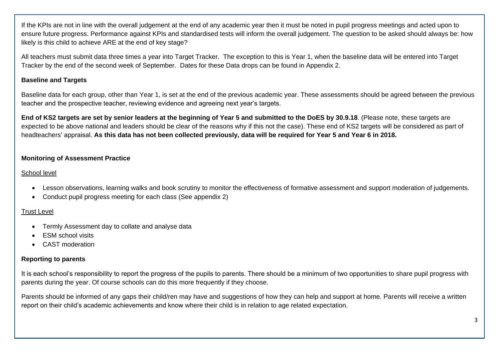If the KPIs are not in line with the overall judgement at the end of any academic year then it must be noted in pupil progress meetings and acted upon to ensure future progress. Performance against KPIs and standardised tests will inform the overall judgement. The question to be asked should always be: how likely is this child to achieve ARE at the end of key stage?

All teachers must submit data three times a year into Target Tracker. The exception to this is Year 1, when the baseline data will be entered into Target Tracker by the end of the second week of September. Dates for these Data drops can be found in Appendix 2.

## **Baseline and Targets**

Baseline data for each group, other than Year 1, is set at the end of the previous academic year. These assessments should be agreed between the previous teacher and the prospective teacher, reviewing evidence and agreeing next year's targets.

**End of KS2 targets are set by senior leaders at the beginning of Year 5 and submitted to the DoES by 30.9.18**. (Please note, these targets are expected to be above national and leaders should be clear of the reasons why if this not the case). These end of KS2 targets will be considered as part of headteachers' appraisal. **As this data has not been collected previously, data will be required for Year 5 and Year 6 in 2018.**

### **Monitoring of Assessment Practice**

#### School level

- Lesson observations, learning walks and book scrutiny to monitor the effectiveness of formative assessment and support moderation of judgements.
- Conduct pupil progress meeting for each class (See appendix 2)

## Trust Level

- Termly Assessment day to collate and analyse data
- **ESM school visits**
- CAST moderation

## **Reporting to parents**

It is each school's responsibility to report the progress of the pupils to parents. There should be a minimum of two opportunities to share pupil progress with parents during the year. Of course schools can do this more frequently if they choose.

Parents should be informed of any gaps their child/ren may have and suggestions of how they can help and support at home. Parents will receive a written report on their child's academic achievements and know where their child is in relation to age related expectation.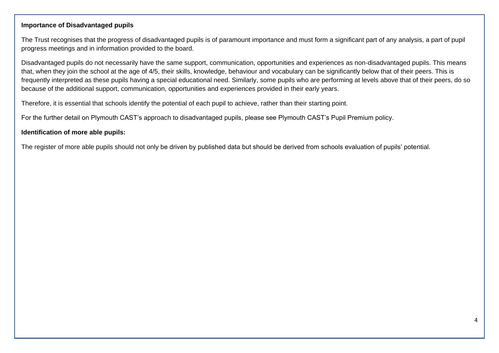### **Importance of Disadvantaged pupils**

The Trust recognises that the progress of disadvantaged pupils is of paramount importance and must form a significant part of any analysis, a part of pupil progress meetings and in information provided to the board.

Disadvantaged pupils do not necessarily have the same support, communication, opportunities and experiences as non-disadvantaged pupils. This means that, when they join the school at the age of 4/5, their skills, knowledge, behaviour and vocabulary can be significantly below that of their peers. This is frequently interpreted as these pupils having a special educational need. Similarly, some pupils who are performing at levels above that of their peers, do so because of the additional support, communication, opportunities and experiences provided in their early years.

Therefore, it is essential that schools identify the potential of each pupil to achieve, rather than their starting point.

For the further detail on Plymouth CAST's approach to disadvantaged pupils, please see Plymouth CAST's Pupil Premium policy.

### **Identification of more able pupils:**

The register of more able pupils should not only be driven by published data but should be derived from schools evaluation of pupils' potential.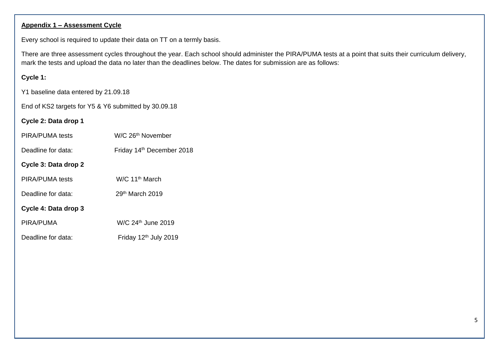# **Appendix 1 – Assessment Cycle**

Every school is required to update their data on TT on a termly basis.

There are three assessment cycles throughout the year. Each school should administer the PIRA/PUMA tests at a point that suits their curriculum delivery, mark the tests and upload the data no later than the deadlines below. The dates for submission are as follows:

#### **Cycle 1:**

Y1 baseline data entered by 21.09.18

End of KS2 targets for Y5 & Y6 submitted by 30.09.18

#### **Cycle 2: Data drop 1**

| W/C 26 <sup>th</sup> November<br>PIRA/PUMA tests |  |
|--------------------------------------------------|--|
|--------------------------------------------------|--|

- Deadline for data: Friday 14<sup>th</sup> December 2018
- **Cycle 3: Data drop 2**
- PIRA/PUMA tests W/C 11<sup>th</sup> March
- Deadline for data: 29<sup>th</sup> March 2019

# **Cycle 4: Data drop 3**

| PIRA/PUMA | W/C 24 <sup>th</sup> June 2019 |
|-----------|--------------------------------|
|           |                                |

Deadline for data: Friday 12<sup>th</sup> July 2019